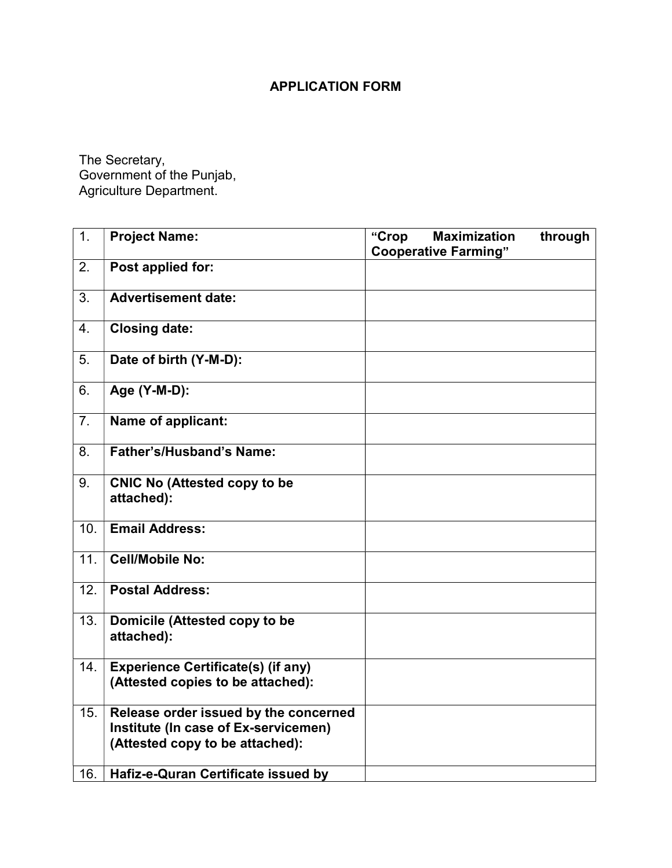## APPLICATION FORM

The Secretary, Government of the Punjab, Agriculture Department.

| 1.             | <b>Project Name:</b>                                                                                             | "Crop | <b>Maximization</b><br><b>Cooperative Farming"</b> | through |
|----------------|------------------------------------------------------------------------------------------------------------------|-------|----------------------------------------------------|---------|
| 2.             | Post applied for:                                                                                                |       |                                                    |         |
| 3.             | <b>Advertisement date:</b>                                                                                       |       |                                                    |         |
| 4.             | <b>Closing date:</b>                                                                                             |       |                                                    |         |
| $\overline{5}$ | Date of birth (Y-M-D):                                                                                           |       |                                                    |         |
| 6.             | Age (Y-M-D):                                                                                                     |       |                                                    |         |
| 7.             | Name of applicant:                                                                                               |       |                                                    |         |
| 8.             | <b>Father's/Husband's Name:</b>                                                                                  |       |                                                    |         |
| 9.             | <b>CNIC No (Attested copy to be</b><br>attached):                                                                |       |                                                    |         |
| 10.            | <b>Email Address:</b>                                                                                            |       |                                                    |         |
| 11.            | <b>Cell/Mobile No:</b>                                                                                           |       |                                                    |         |
| 12.            | <b>Postal Address:</b>                                                                                           |       |                                                    |         |
| 13.            | Domicile (Attested copy to be<br>attached):                                                                      |       |                                                    |         |
| 14.            | <b>Experience Certificate(s) (if any)</b><br>(Attested copies to be attached):                                   |       |                                                    |         |
| 15.            | Release order issued by the concerned<br>Institute (In case of Ex-servicemen)<br>(Attested copy to be attached): |       |                                                    |         |
| 16.            | Hafiz-e-Quran Certificate issued by                                                                              |       |                                                    |         |